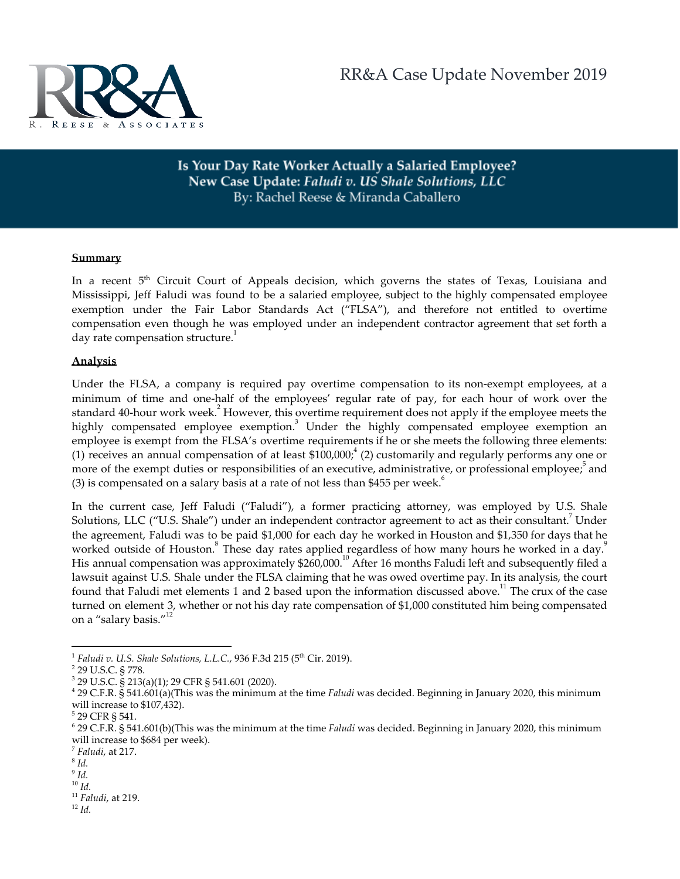

Is Your Day Rate Worker Actually a Salaried Employee? New Case Update: Faludi v. US Shale Solutions, LLC By: Rachel Reese & Miranda Caballero

## **Summary**

In a recent 5<sup>th</sup> Circuit Court of Appeals decision, which governs the states of Texas, Louisiana and Mississippi, Jeff Faludi was found to be a salaried employee, subject to the highly compensated employee exemption under the Fair Labor Standards Act ("FLSA"), and therefore not entitled to overtime compensation even though he was employed under an independent contractor agreement that set forth a day rate compensation structure.<sup>1</sup>

## **Analysis**

Under the FLSA, a company is required pay overtime compensation to its non-exempt employees, at a minimum of time and one-half of the employees' regular rate of pay, for each hour of work over the standard 40-hour work week.<sup>2</sup> However, this overtime requirement does not apply if the employee meets the highly compensated employee exemption.<sup>3</sup> Under the highly compensated employee exemption an employee is exempt from the FLSA's overtime requirements if he or she meets the following three elements: (1) receives an annual compensation of at least  $$100,000;<sup>4</sup>$  (2) customarily and regularly performs any one or more of the exempt duties or responsibilities of an executive, administrative, or professional employee; and (3) is compensated on a salary basis at a rate of not less than \$455 per week.<sup>6</sup>

In the current case, Jeff Faludi ("Faludi"), a former practicing attorney, was employed by U.S. Shale Solutions, LLC ("U.S. Shale") under an independent contractor agreement to act as their consultant.<sup>7</sup> Under the agreement, Faludi was to be paid \$1,000 for each day he worked in Houston and \$1,350 for days that he worked outside of Houston. These day rates applied regardless of how many hours he worked in a day. His annual compensation was approximately  $$260,000$ .<sup>10</sup> After 16 months Faludi left and subsequently filed a lawsuit against U.S. Shale under the FLSA claiming that he was owed overtime pay. In its analysis, the court found that Faludi met elements 1 and 2 based upon the information discussed above.<sup>11</sup> The crux of the case turned on element 3, whether or not his day rate compensation of \$1,000 constituted him being compensated on a "salary basis."<sup>12</sup>

<sup>&</sup>lt;sup>1</sup> Faludi v. U.S. Shale Solutions, L.L.C., 936 F.3d 215 (5<sup>th</sup> Cir. 2019).

<sup>&</sup>lt;sup>2</sup> 29 U.S.C. § 778.

<sup>3</sup> 29 U.S.C. § 213(a)(1); 29 CFR § 541.601 (2020).

<sup>4</sup> 29 C.F.R. § 541.601(a)(This was the minimum at the time *Faludi* was decided. Beginning in January 2020, this minimum will increase to \$107,432).

<sup>5</sup> 29 CFR § 541.

<sup>6</sup> 29 C.F.R. § 541.601(b)(This was the minimum at the time *Faludi* was decided. Beginning in January 2020, this minimum will increase to \$684 per week).

<sup>7</sup> *Faludi*, at 217.

<sup>8</sup> *Id.*

<sup>9</sup> *Id.*

<sup>10</sup> *Id.*

<sup>11</sup> *Faludi*,at 219.

<sup>12</sup> *Id.*